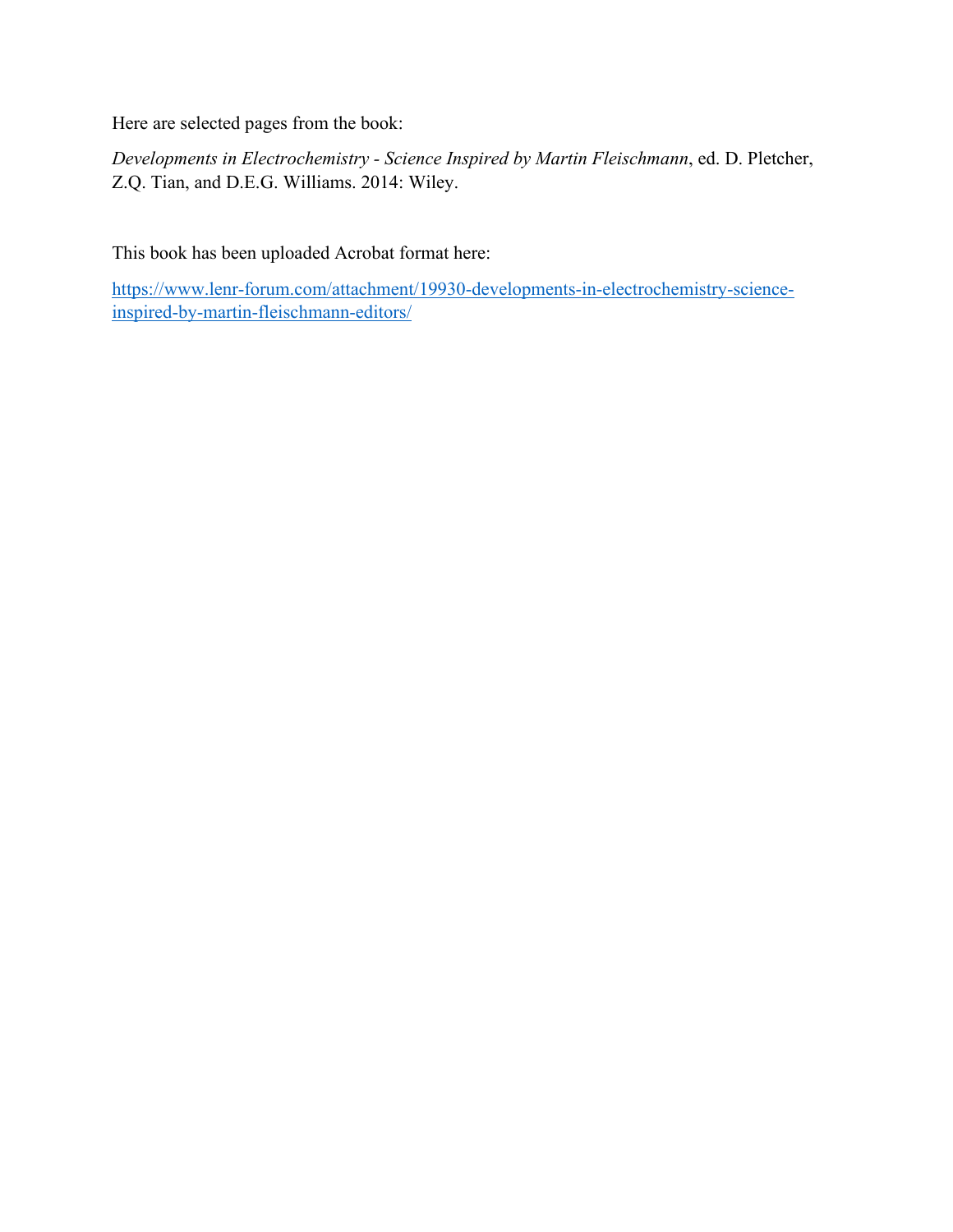Here are selected pages from the book:

*Developments in Electrochemistry - Science Inspired by Martin Fleischmann*, ed. D. Pletcher, Z.Q. Tian, and D.E.G. Williams. 2014: Wiley.

This book has been uploaded Acrobat format here:

[https://www.lenr-forum.com/attachment/19930-developments-in-electrochemistry-science](https://www.lenr-forum.com/attachment/19930-developments-in-electrochemistry-science-inspired-by-martin-fleischmann-editors/)[inspired-by-martin-fleischmann-editors/](https://www.lenr-forum.com/attachment/19930-developments-in-electrochemistry-science-inspired-by-martin-fleischmann-editors/)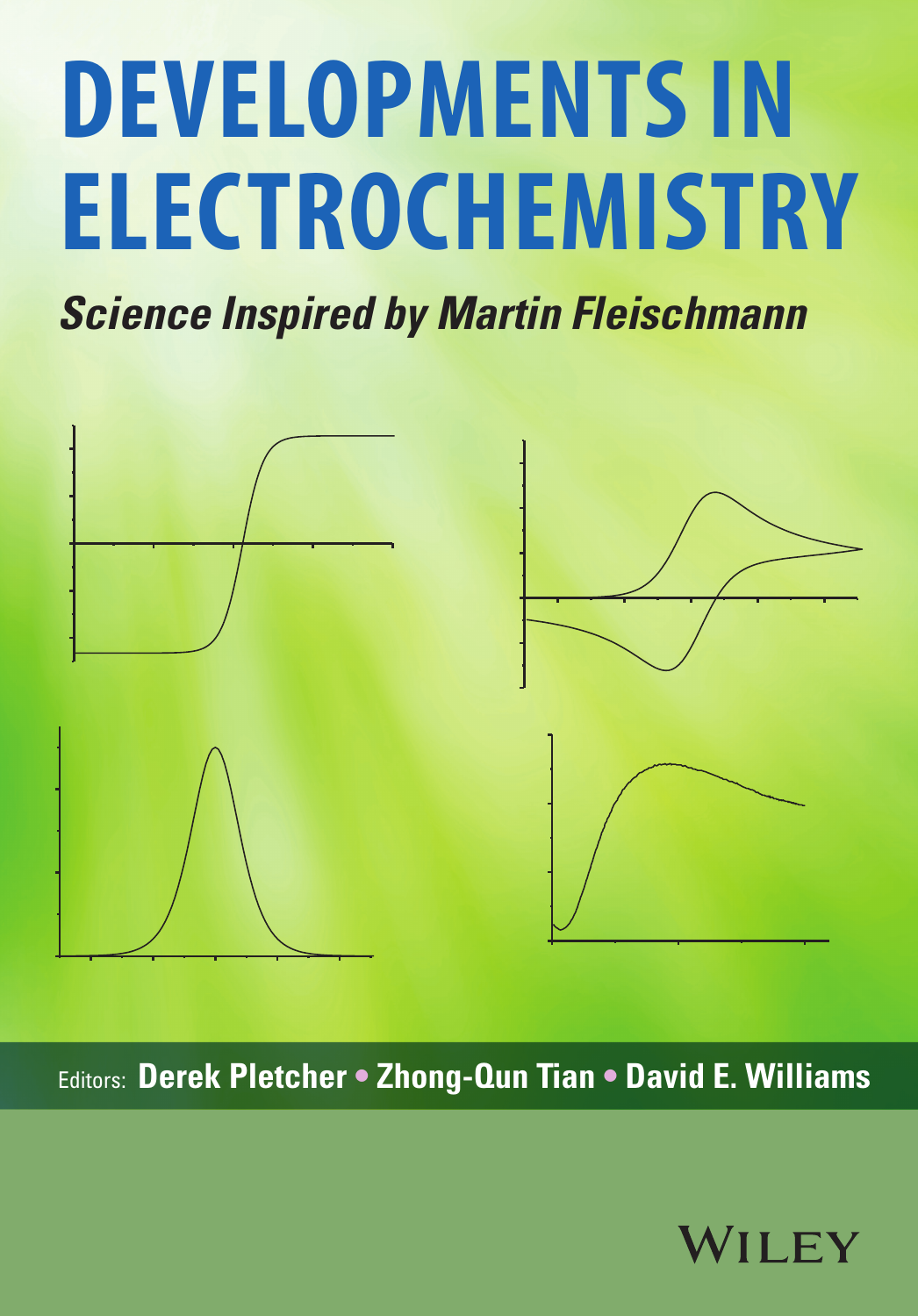# **Developments in Electrochemistry**

*Science Inspired by Martin Fleischmann*



Editors: **Derek Pletcher • Zhong-Qun Tian • David E. Williams**

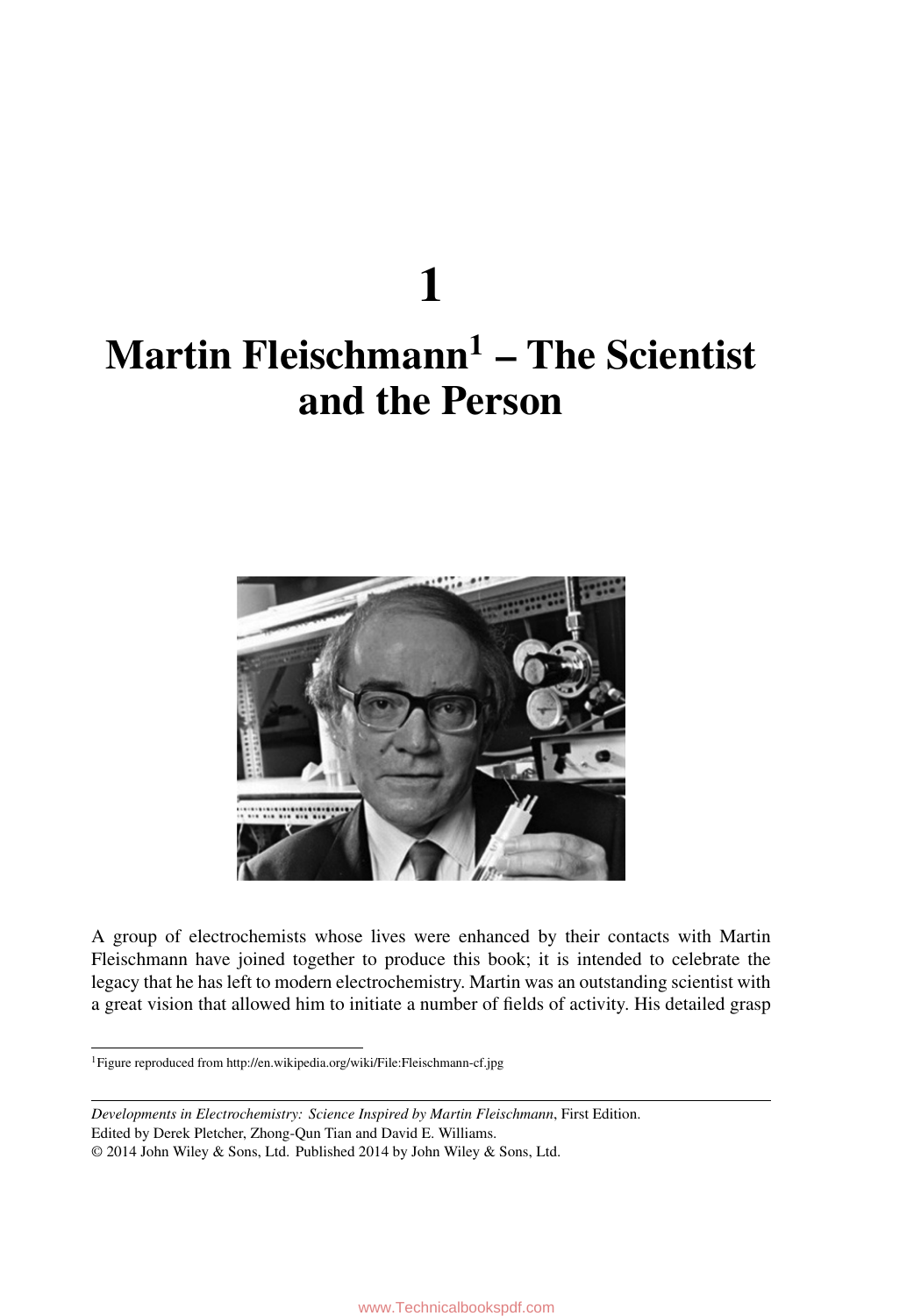## **1 Martin Fleischmann1 – The Scientist and the Person**



A group of electrochemists whose lives were enhanced by their contacts with Martin Fleischmann have joined together to produce this book; it is intended to celebrate the legacy that he has left to modern electrochemistry. Martin was an outstanding scientist with a great vision that allowed him to initiate a number of fields of activity. His detailed grasp

<sup>1</sup>Figure reproduced from http://en.wikipedia.org/wiki/File:Fleischmann-cf.jpg

*Developments in Electrochemistry: Science Inspired by Martin Fleischmann*, First Edition.

Edited by Derek Pletcher, Zhong-Qun Tian and David E. Williams.

<sup>© 2014</sup> John Wiley & Sons, Ltd. Published 2014 by John Wiley & Sons, Ltd.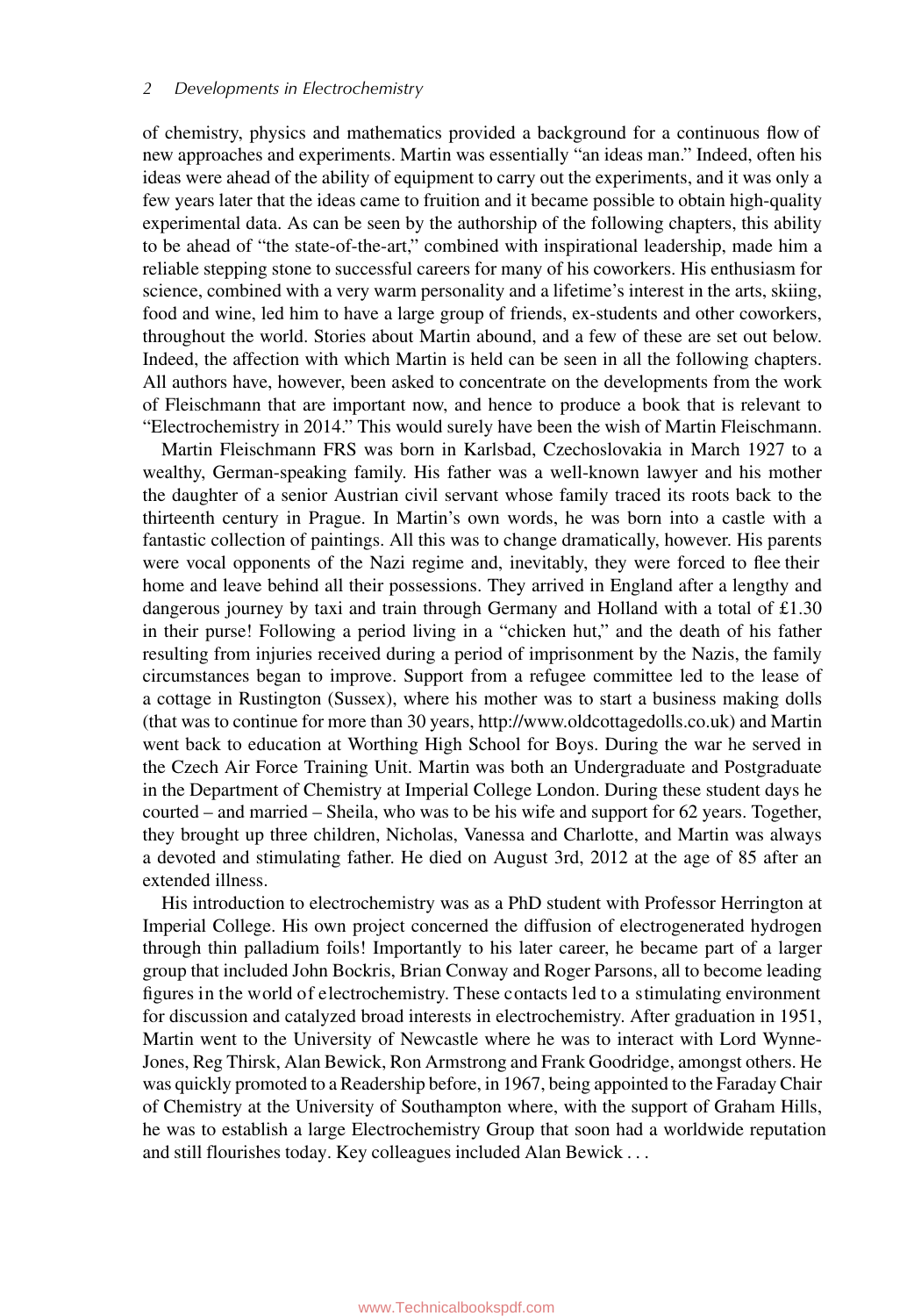of chemistry, physics and mathematics provided a background for a continuous flow of new approaches and experiments. Martin was essentially "an ideas man." Indeed, often his ideas were ahead of the ability of equipment to carry out the experiments, and it was only a few years later that the ideas came to fruition and it became possible to obtain high-quality experimental data. As can be seen by the authorship of the following chapters, this ability to be ahead of "the state-of-the-art," combined with inspirational leadership, made him a reliable stepping stone to successful careers for many of his coworkers. His enthusiasm for science, combined with a very warm personality and a lifetime's interest in the arts, skiing, food and wine, led him to have a large group of friends, ex-students and other coworkers, throughout the world. Stories about Martin abound, and a few of these are set out below. Indeed, the affection with which Martin is held can be seen in all the following chapters. All authors have, however, been asked to concentrate on the developments from the work of Fleischmann that are important now, and hence to produce a book that is relevant to "Electrochemistry in 2014." This would surely have been the wish of Martin Fleischmann.

Martin Fleischmann FRS was born in Karlsbad, Czechoslovakia in March 1927 to a wealthy, German-speaking family. His father was a well-known lawyer and his mother the daughter of a senior Austrian civil servant whose family traced its roots back to the thirteenth century in Prague. In Martin's own words, he was born into a castle with a fantastic collection of paintings. All this was to change dramatically, however. His parents were vocal opponents of the Nazi regime and, inevitably, they were forced to flee their home and leave behind all their possessions. They arrived in England after a lengthy and dangerous journey by taxi and train through Germany and Holland with a total of £1.30 in their purse! Following a period living in a "chicken hut," and the death of his father resulting from injuries received during a period of imprisonment by the Nazis, the family circumstances began to improve. Support from a refugee committee led to the lease of a cottage in Rustington (Sussex), where his mother was to start a business making dolls (that was to continue for more than 30 years, http://www.oldcottagedolls.co.uk) and Martin went back to education at Worthing High School for Boys. During the war he served in the Czech Air Force Training Unit. Martin was both an Undergraduate and Postgraduate in the Department of Chemistry at Imperial College London. During these student days he courted – and married – Sheila, who was to be his wife and support for 62 years. Together, they brought up three children, Nicholas, Vanessa and Charlotte, and Martin was always a devoted and stimulating father. He died on August 3rd, 2012 at the age of 85 after an extended illness.

His introduction to electrochemistry was as a PhD student with Professor Herrington at Imperial College. His own project concerned the diffusion of electrogenerated hydrogen through thin palladium foils! Importantly to his later career, he became part of a larger group that included John Bockris, Brian Conway and Roger Parsons, all to become leading figures in the world of electrochemistry. These contacts led to a stimulating environment for discussion and catalyzed broad interests in electrochemistry. After graduation in 1951, Martin went to the University of Newcastle where he was to interact with Lord Wynne-Jones, Reg Thirsk, Alan Bewick, Ron Armstrong and Frank Goodridge, amongst others. He was quickly promoted to a Readership before, in 1967, being appointed to the Faraday Chair of Chemistry at the University of Southampton where, with the support of Graham Hills, he was to establish a large Electrochemistry Group that soon had a worldwide reputation and still flourishes today. Key colleagues included Alan Bewick . . .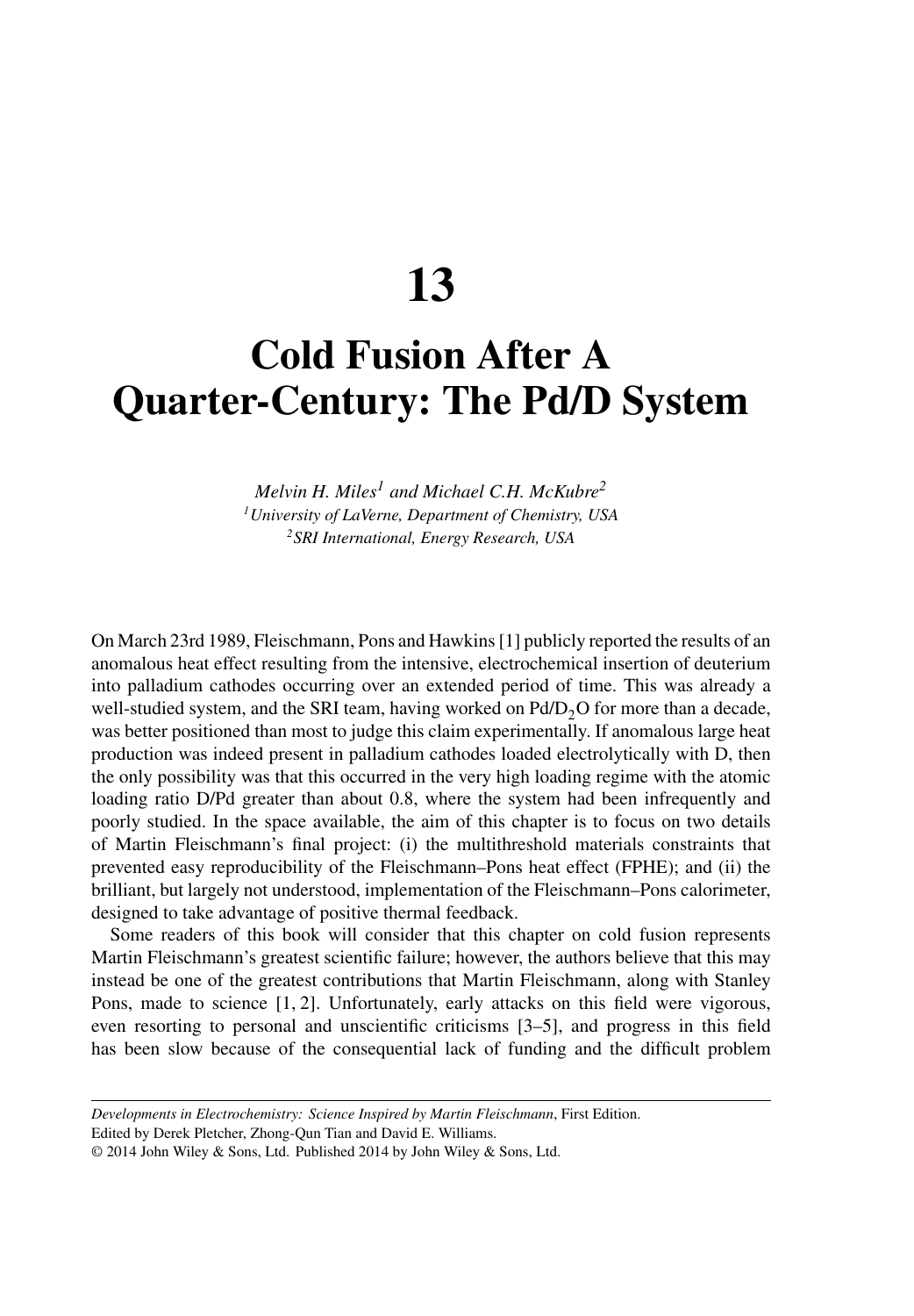**13**

### **Cold Fusion After A Quarter-Century: The Pd/D System**

*Melvin H. Miles<sup>1</sup> and Michael C.H. McKubre2 1University of LaVerne, Department of Chemistry, USA 2SRI International, Energy Research, USA*

On March 23rd 1989, Fleischmann, Pons and Hawkins [1] publicly reported the results of an anomalous heat effect resulting from the intensive, electrochemical insertion of deuterium into palladium cathodes occurring over an extended period of time. This was already a well-studied system, and the SRI team, having worked on  $Pd/D<sub>2</sub>O$  for more than a decade, was better positioned than most to judge this claim experimentally. If anomalous large heat production was indeed present in palladium cathodes loaded electrolytically with D, then the only possibility was that this occurred in the very high loading regime with the atomic loading ratio D/Pd greater than about 0.8, where the system had been infrequently and poorly studied. In the space available, the aim of this chapter is to focus on two details of Martin Fleischmann's final project: (i) the multithreshold materials constraints that prevented easy reproducibility of the Fleischmann–Pons heat effect (FPHE); and (ii) the brilliant, but largely not understood, implementation of the Fleischmann–Pons calorimeter, designed to take advantage of positive thermal feedback.

Some readers of this book will consider that this chapter on cold fusion represents Martin Fleischmann's greatest scientific failure; however, the authors believe that this may instead be one of the greatest contributions that Martin Fleischmann, along with Stanley Pons, made to science [1, 2]. Unfortunately, early attacks on this field were vigorous, even resorting to personal and unscientific criticisms [3–5], and progress in this field has been slow because of the consequential lack of funding and the difficult problem

Edited by Derek Pletcher, Zhong-Qun Tian and David E. Williams.

*Developments in Electrochemistry: Science Inspired by Martin Fleischmann*, First Edition.

<sup>© 2014</sup> John Wiley & Sons, Ltd. Published 2014 by John Wiley & Sons, Ltd.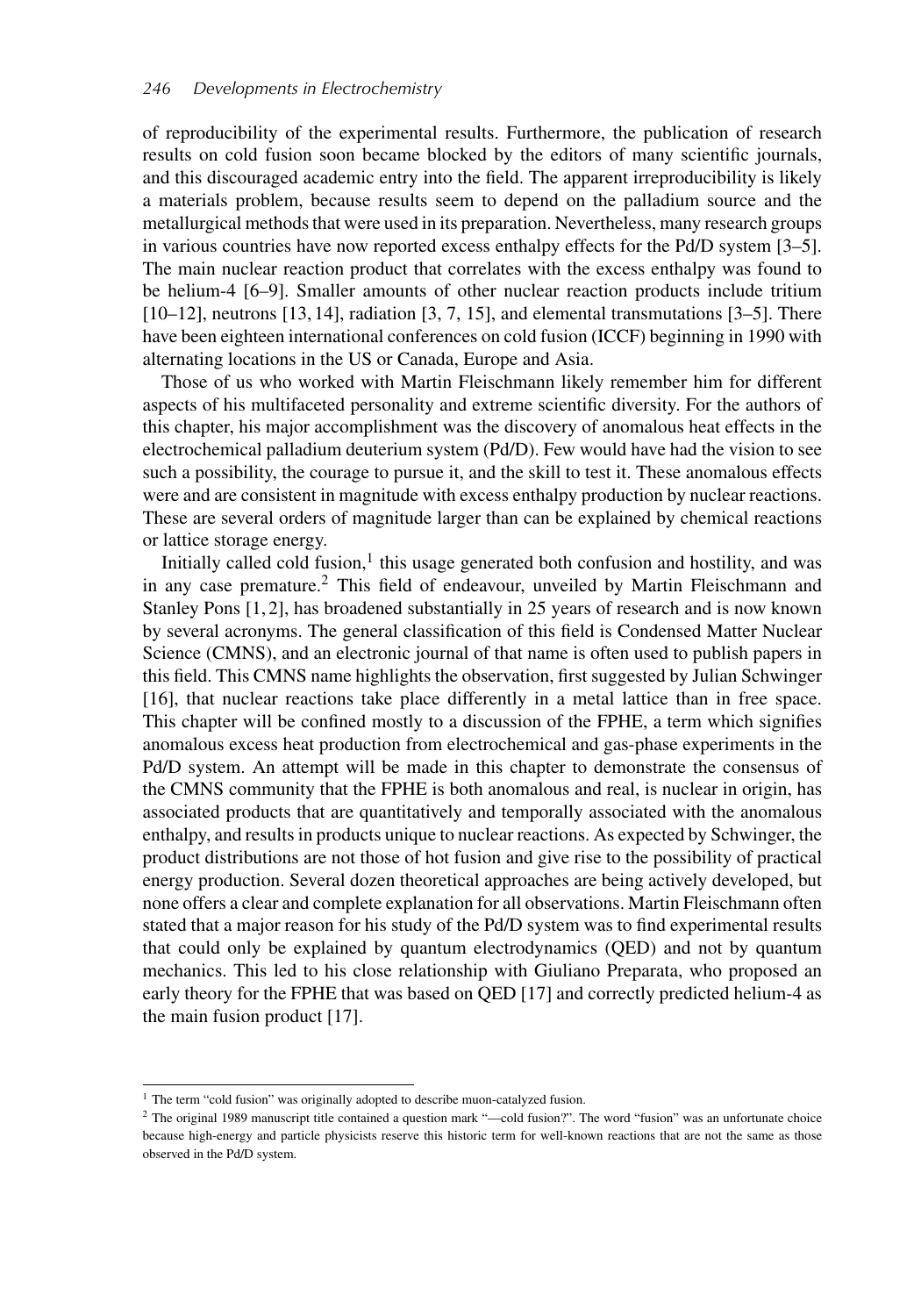of reproducibility of the experimental results. Furthermore, the publication of research results on cold fusion soon became blocked by the editors of many scientific journals, and this discouraged academic entry into the field. The apparent irreproducibility is likely a materials problem, because results seem to depend on the palladium source and the metallurgical methods that were used in its preparation. Nevertheless, many research groups in various countries have now reported excess enthalpy effects for the Pd/D system [3–5]. The main nuclear reaction product that correlates with the excess enthalpy was found to be helium-4 [6–9]. Smaller amounts of other nuclear reaction products include tritium  $[10–12]$ , neutrons  $[13, 14]$ , radiation  $[3, 7, 15]$ , and elemental transmutations  $[3–5]$ . There have been eighteen international conferences on cold fusion (ICCF) beginning in 1990 with alternating locations in the US or Canada, Europe and Asia.

Those of us who worked with Martin Fleischmann likely remember him for different aspects of his multifaceted personality and extreme scientific diversity. For the authors of this chapter, his major accomplishment was the discovery of anomalous heat effects in the electrochemical palladium deuterium system (Pd/D). Few would have had the vision to see such a possibility, the courage to pursue it, and the skill to test it. These anomalous effects were and are consistent in magnitude with excess enthalpy production by nuclear reactions. These are several orders of magnitude larger than can be explained by chemical reactions or lattice storage energy.

Initially called cold fusion, $<sup>1</sup>$  this usage generated both confusion and hostility, and was</sup> in any case premature.<sup>2</sup> This field of endeavour, unveiled by Martin Fleischmann and Stanley Pons [1, 2], has broadened substantially in 25 years of research and is now known by several acronyms. The general classification of this field is Condensed Matter Nuclear Science (CMNS), and an electronic journal of that name is often used to publish papers in this field. This CMNS name highlights the observation, first suggested by Julian Schwinger [16], that nuclear reactions take place differently in a metal lattice than in free space. This chapter will be confined mostly to a discussion of the FPHE, a term which signifies anomalous excess heat production from electrochemical and gas-phase experiments in the Pd/D system. An attempt will be made in this chapter to demonstrate the consensus of the CMNS community that the FPHE is both anomalous and real, is nuclear in origin, has associated products that are quantitatively and temporally associated with the anomalous enthalpy, and results in products unique to nuclear reactions. As expected by Schwinger, the product distributions are not those of hot fusion and give rise to the possibility of practical energy production. Several dozen theoretical approaches are being actively developed, but none offers a clear and complete explanation for all observations. Martin Fleischmann often stated that a major reason for his study of the Pd/D system was to find experimental results that could only be explained by quantum electrodynamics (QED) and not by quantum mechanics. This led to his close relationship with Giuliano Preparata, who proposed an early theory for the FPHE that was based on QED [17] and correctly predicted helium-4 as the main fusion product [17].

<sup>&</sup>lt;sup>1</sup> The term "cold fusion" was originally adopted to describe muon-catalyzed fusion.

<sup>2</sup> The original 1989 manuscript title contained a question mark "—cold fusion?". The word "fusion" was an unfortunate choice because high-energy and particle physicists reserve this historic term for well-known reactions that are not the same as those observed in the Pd/D system.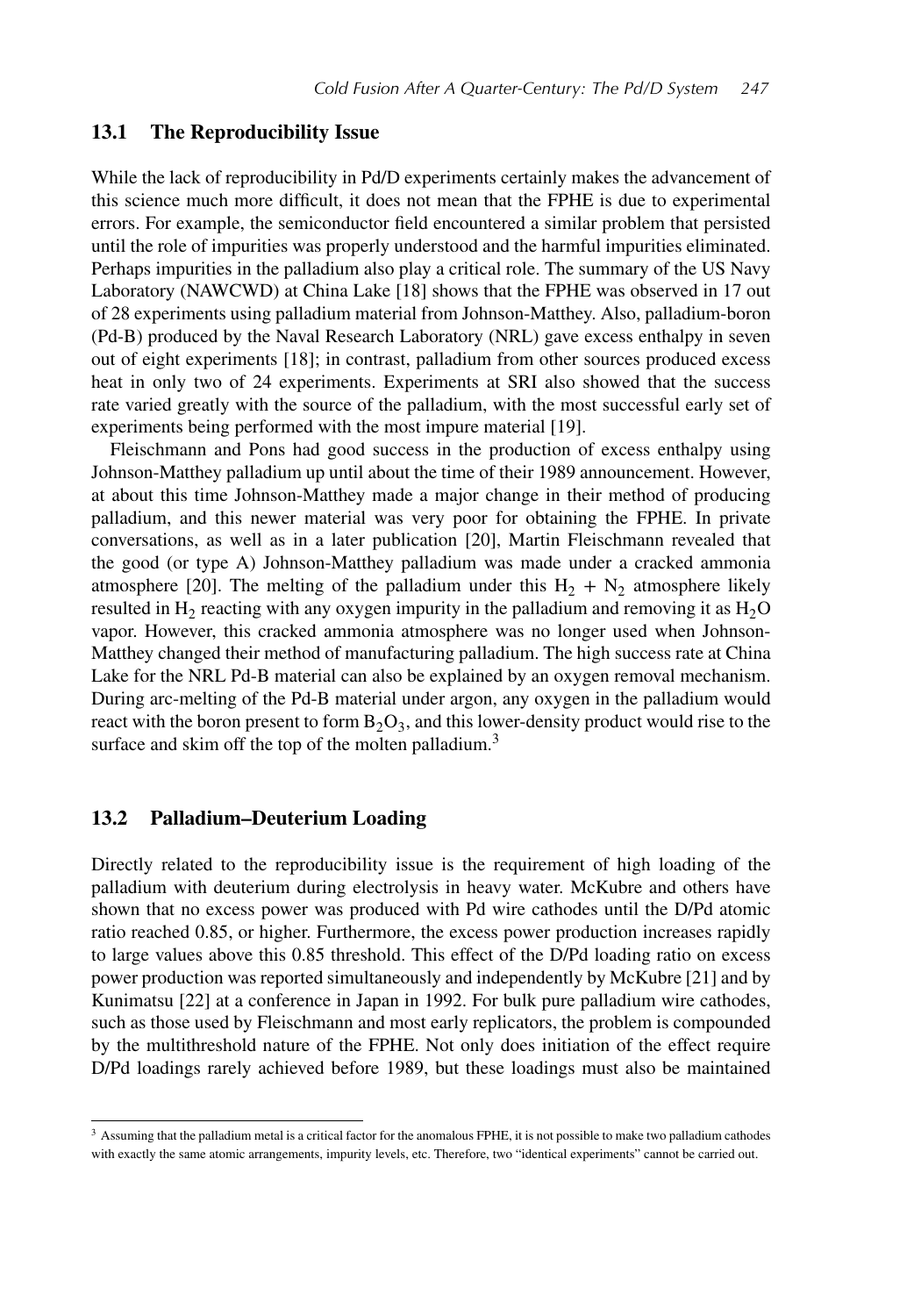#### **13.1 The Reproducibility Issue**

While the lack of reproducibility in Pd/D experiments certainly makes the advancement of this science much more difficult, it does not mean that the FPHE is due to experimental errors. For example, the semiconductor field encountered a similar problem that persisted until the role of impurities was properly understood and the harmful impurities eliminated. Perhaps impurities in the palladium also play a critical role. The summary of the US Navy Laboratory (NAWCWD) at China Lake [18] shows that the FPHE was observed in 17 out of 28 experiments using palladium material from Johnson-Matthey. Also, palladium-boron (Pd-B) produced by the Naval Research Laboratory (NRL) gave excess enthalpy in seven out of eight experiments [18]; in contrast, palladium from other sources produced excess heat in only two of 24 experiments. Experiments at SRI also showed that the success rate varied greatly with the source of the palladium, with the most successful early set of experiments being performed with the most impure material [19].

Fleischmann and Pons had good success in the production of excess enthalpy using Johnson-Matthey palladium up until about the time of their 1989 announcement. However, at about this time Johnson-Matthey made a major change in their method of producing palladium, and this newer material was very poor for obtaining the FPHE. In private conversations, as well as in a later publication [20], Martin Fleischmann revealed that the good (or type A) Johnson-Matthey palladium was made under a cracked ammonia atmosphere [20]. The melting of the palladium under this  $H_2 + N_2$  atmosphere likely resulted in  $H_2$  reacting with any oxygen impurity in the palladium and removing it as  $H_2O$ vapor. However, this cracked ammonia atmosphere was no longer used when Johnson-Matthey changed their method of manufacturing palladium. The high success rate at China Lake for the NRL Pd-B material can also be explained by an oxygen removal mechanism. During arc-melting of the Pd-B material under argon, any oxygen in the palladium would react with the boron present to form  $B_2O_3$ , and this lower-density product would rise to the surface and skim off the top of the molten palladium.<sup>3</sup>

#### **13.2 Palladium–Deuterium Loading**

Directly related to the reproducibility issue is the requirement of high loading of the palladium with deuterium during electrolysis in heavy water. McKubre and others have shown that no excess power was produced with Pd wire cathodes until the D/Pd atomic ratio reached 0.85, or higher. Furthermore, the excess power production increases rapidly to large values above this 0.85 threshold. This effect of the D/Pd loading ratio on excess power production was reported simultaneously and independently by McKubre [21] and by Kunimatsu [22] at a conference in Japan in 1992. For bulk pure palladium wire cathodes, such as those used by Fleischmann and most early replicators, the problem is compounded by the multithreshold nature of the FPHE. Not only does initiation of the effect require D/Pd loadings rarely achieved before 1989, but these loadings must also be maintained

<sup>&</sup>lt;sup>3</sup> Assuming that the palladium metal is a critical factor for the anomalous FPHE, it is not possible to make two palladium cathodes with exactly the same atomic arrangements, impurity levels, etc. Therefore, two "identical experiments" cannot be carried out.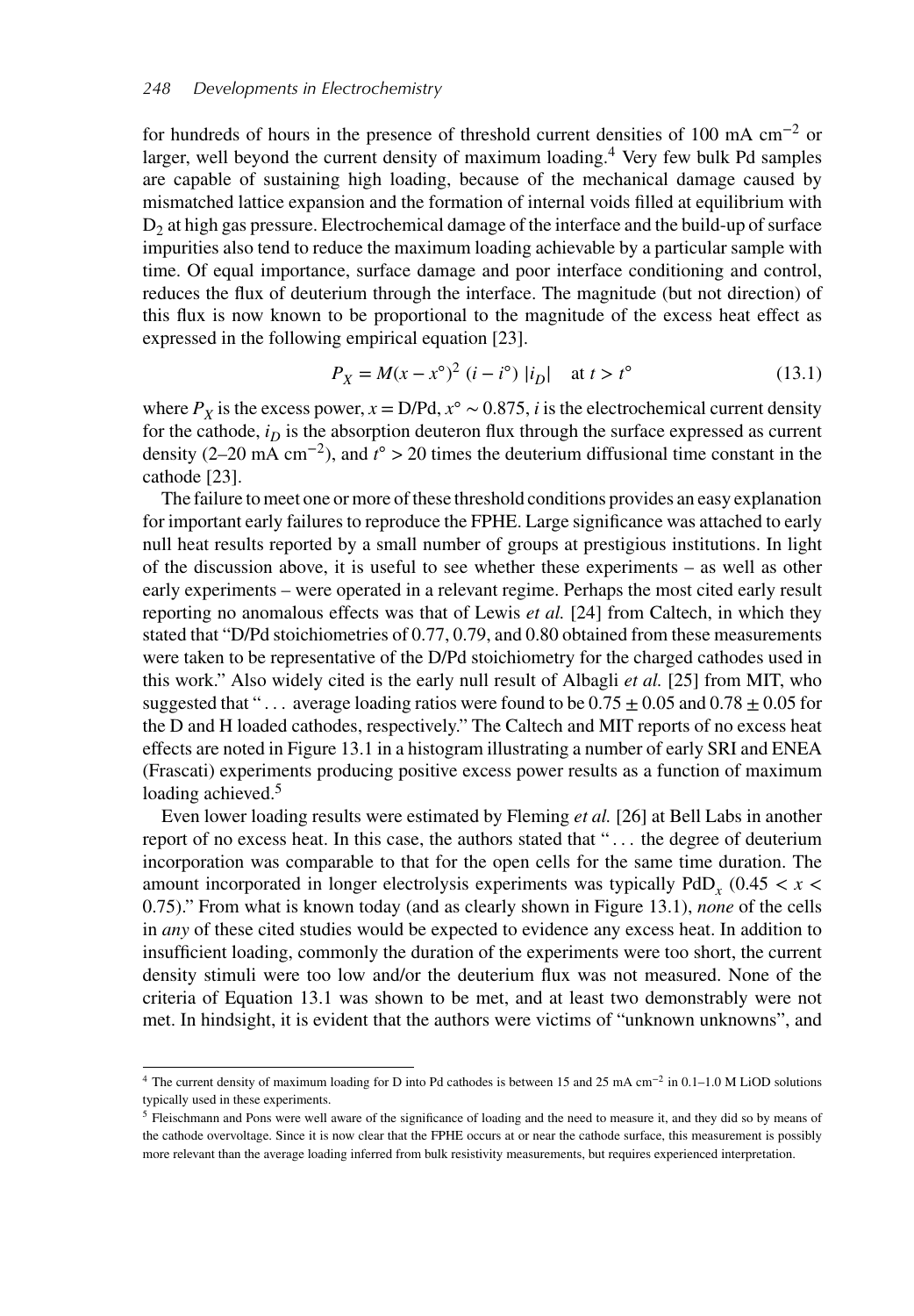for hundreds of hours in the presence of threshold current densities of 100 mA cm−<sup>2</sup> or larger, well beyond the current density of maximum loading.<sup>4</sup> Very few bulk Pd samples are capable of sustaining high loading, because of the mechanical damage caused by mismatched lattice expansion and the formation of internal voids filled at equilibrium with  $D<sub>2</sub>$  at high gas pressure. Electrochemical damage of the interface and the build-up of surface impurities also tend to reduce the maximum loading achievable by a particular sample with time. Of equal importance, surface damage and poor interface conditioning and control, reduces the flux of deuterium through the interface. The magnitude (but not direction) of this flux is now known to be proportional to the magnitude of the excess heat effect as expressed in the following empirical equation [23].

$$
P_X = M(x - x^{\circ})^2 \ (i - i^{\circ}) \ |i_D| \quad \text{at } t > t^{\circ}
$$
 (13.1)

where  $P_X$  is the excess power,  $x = D/Pd$ ,  $x^\circ \sim 0.875$ , *i* is the electrochemical current density for the cathode,  $i<sub>D</sub>$  is the absorption deuteron flux through the surface expressed as current density (2–20 mA cm<sup>-2</sup>), and  $t^{\circ} > 20$  times the deuterium diffusional time constant in the cathode [23].

The failure to meet one or more of these threshold conditions provides an easy explanation for important early failures to reproduce the FPHE. Large significance was attached to early null heat results reported by a small number of groups at prestigious institutions. In light of the discussion above, it is useful to see whether these experiments – as well as other early experiments – were operated in a relevant regime. Perhaps the most cited early result reporting no anomalous effects was that of Lewis *et al.* [24] from Caltech, in which they stated that "D/Pd stoichiometries of 0.77, 0.79, and 0.80 obtained from these measurements were taken to be representative of the D/Pd stoichiometry for the charged cathodes used in this work." Also widely cited is the early null result of Albagli *et al.* [25] from MIT, who suggested that "... average loading ratios were found to be  $0.75 \pm 0.05$  and  $0.78 \pm 0.05$  for the D and H loaded cathodes, respectively." The Caltech and MIT reports of no excess heat effects are noted in Figure 13.1 in a histogram illustrating a number of early SRI and ENEA (Frascati) experiments producing positive excess power results as a function of maximum loading achieved.<sup>5</sup>

Even lower loading results were estimated by Fleming *et al.* [26] at Bell Labs in another report of no excess heat. In this case, the authors stated that " . . . the degree of deuterium incorporation was comparable to that for the open cells for the same time duration. The amount incorporated in longer electrolysis experiments was typically PdD*<sup>x</sup>* (0.45 *< x <* 0.75)." From what is known today (and as clearly shown in Figure 13.1), *none* of the cells in *any* of these cited studies would be expected to evidence any excess heat. In addition to insufficient loading, commonly the duration of the experiments were too short, the current density stimuli were too low and/or the deuterium flux was not measured. None of the criteria of Equation 13.1 was shown to be met, and at least two demonstrably were not met. In hindsight, it is evident that the authors were victims of "unknown unknowns", and

<sup>4</sup> The current density of maximum loading for D into Pd cathodes is between 15 and 25 mA cm−<sup>2</sup> in 0.1–1.0 M LiOD solutions typically used in these experiments.

<sup>5</sup> Fleischmann and Pons were well aware of the significance of loading and the need to measure it, and they did so by means of the cathode overvoltage. Since it is now clear that the FPHE occurs at or near the cathode surface, this measurement is possibly more relevant than the average loading inferred from bulk resistivity measurements, but requires experienced interpretation.